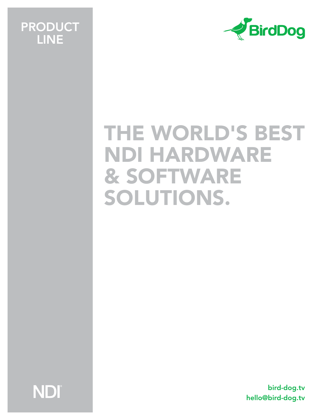# PRODUCT LINE



# THE WORLD'S BEST NDI HARDWARE & SOFTWARE SOLUTIONS.

NDI

bird-dog.tv hello@bird-dog.tv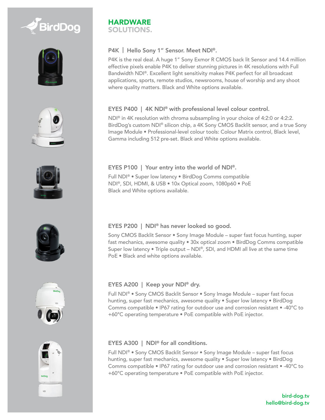













#### **HARDWARE** SOLUTIONS.

# P4K | Hello Sony 1" Sensor. Meet NDI<sup>®</sup>.

P4K is the real deal. A huge 1" Sony Exmor R CMOS back lit Sensor and 14.4 million effective pixels enable P4K to deliver stunning pictures in 4K resolutions with Full Bandwidth NDI®. Excellent light sensitivity makes P4K perfect for all broadcast applications, sports, remote studios, newsrooms, house of worship and any shoot where quality matters. Black and White options available.

# EYES P400 | 4K NDI® with professional level colour control.

NDI® in 4K resolution with chroma subsampling in your choice of 4:2:0 or 4:2:2. BirdDog's custom NDI® silicon chip, a 4K Sony CMOS Backlit sensor, and a true Sony Image Module • Professional-level colour tools: Colour Matrix control, Black level, Gamma including 512 pre-set. Black and White options available.

# EYES P100 | Your entry into the world of NDI®.

Full NDI® • Super low latency • BirdDog Comms compatible NDI®, SDI, HDMI, & USB • 10x Optical zoom, 1080p60 • PoE Black and White options available.

# EYES P200 | NDI® has never looked so good.

Sony CMOS Backlit Sensor • Sony Image Module – super fast focus hunting, super fast mechanics, awesome quality • 30x optical zoom • BirdDog Comms compatible Super low latency • Triple output – NDI®, SDI, and HDMI all live at the same time PoE • Black and white options available.

# EYES A200 | Keep your NDI® dry.

Full NDI® • Sony CMOS Backlit Sensor • Sony Image Module – super fast focus hunting, super fast mechanics, awesome quality . Super low latency . BirdDog Comms compatible • IP67 rating for outdoor use and corrosion resistant • -40°C to +60°C operating temperature • PoE compatible with PoE injector.

# EYES A300 | NDI® for all conditions.

Full NDI® • Sony CMOS Backlit Sensor • Sony Image Module – super fast focus hunting, super fast mechanics, awesome quality • Super low latency • BirdDog Comms compatible • IP67 rating for outdoor use and corrosion resistant • -40°C to +60°C operating temperature • PoE compatible with PoE injector.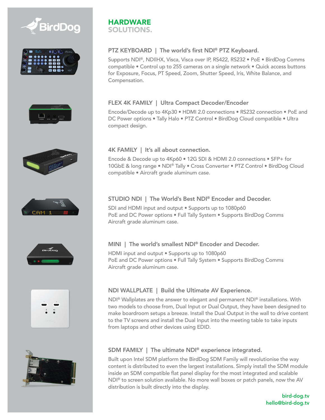















#### **HARDWARE** SOLUTIONS.

# PTZ KEYBOARD | The world's first NDI® PTZ Keyboard.

Supports NDI®, NDI|HX, Visca, Visca over IP, RS422, RS232 • PoE • BirdDog Comms compatible • Control up to 255 cameras on a single network • Quick access buttons for Exposure, Focus, PT Speed, Zoom, Shutter Speed, Iris, White Balance, and Compensation.

#### FLEX 4K FAMILY | Ultra Compact Decoder/Encoder

Encode/Decode up to 4Kp30 • HDMI 2.0 connections • RS232 connection • PoE and DC Power options . Tally Halo . PTZ Control . BirdDog Cloud compatible . Ultra compact design.

#### 4K FAMILY | It's all about connection.

Encode & Decode up to 4Kp60 • 12G SDI & HDMI 2.0 connections • SFP+ for 10GbE & long range • NDI® Tally • Cross Converter • PTZ Control • BirdDog Cloud compatible • Aircraft grade aluminum case.

#### STUDIO NDI | The World's Best NDI® Encoder and Decoder.

SDI and HDMI input and output • Supports up to 1080p60 PoE and DC Power options • Full Tally System • Supports BirdDog Comms Aircraft grade aluminum case.

#### MINI | The world's smallest NDI<sup>®</sup> Encoder and Decoder.

HDMI input and output • Supports up to 1080p60 PoE and DC Power options • Full Tally System • Supports BirdDog Comms Aircraft grade aluminum case.

# NDI WALLPLATE | Build the Ultimate AV Experience.

NDI® Wallplates are the answer to elegant and permanent NDI® installations. With two models to choose from, Dual Input or Dual Output, they have been designed to make boardroom setups a breeze. Install the Dual Output in the wall to drive content to the TV screens and install the Dual Input into the meeting table to take inputs from laptops and other devices using EDID.

# SDM FAMILY | The ultimate NDI® experience integrated.

Built upon Intel SDM platform the BirdDog SDM Family will revolutionise the way content is distributed to even the largest installations. Simply install the SDM module inside an SDM compatible flat panel display for the most integrated and scalable  $ND^{10}$  to screen solution available. No more wall boxes or patch panels, now the AV distribution is built directly into the display.

> bird-dog.tv hello@bird-dog.tv